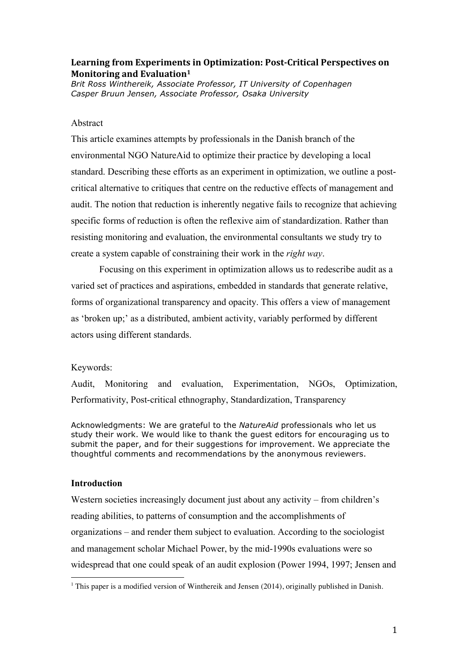# Learning from Experiments in Optimization: Post-Critical Perspectives on **Monitoring and Evaluation**<sup>1</sup>

*Brit Ross Winthereik, Associate Professor, IT University of Copenhagen Casper Bruun Jensen, Associate Professor, Osaka University*

## Abstract

This article examines attempts by professionals in the Danish branch of the environmental NGO NatureAid to optimize their practice by developing a local standard. Describing these efforts as an experiment in optimization, we outline a postcritical alternative to critiques that centre on the reductive effects of management and audit. The notion that reduction is inherently negative fails to recognize that achieving specific forms of reduction is often the reflexive aim of standardization. Rather than resisting monitoring and evaluation, the environmental consultants we study try to create a system capable of constraining their work in the *right way*.

Focusing on this experiment in optimization allows us to redescribe audit as a varied set of practices and aspirations, embedded in standards that generate relative, forms of organizational transparency and opacity. This offers a view of management as 'broken up;' as a distributed, ambient activity, variably performed by different actors using different standards.

## Keywords:

Audit, Monitoring and evaluation, Experimentation, NGOs, Optimization, Performativity, Post-critical ethnography, Standardization, Transparency

Acknowledgments: We are grateful to the *NatureAid* professionals who let us study their work. We would like to thank the guest editors for encouraging us to submit the paper, and for their suggestions for improvement. We appreciate the thoughtful comments and recommendations by the anonymous reviewers.

## **Introduction**

 

Western societies increasingly document just about any activity – from children's reading abilities, to patterns of consumption and the accomplishments of organizations – and render them subject to evaluation. According to the sociologist and management scholar Michael Power, by the mid-1990s evaluations were so widespread that one could speak of an audit explosion (Power 1994, 1997; Jensen and

 $1$  This paper is a modified version of Winthereik and Jensen (2014), originally published in Danish.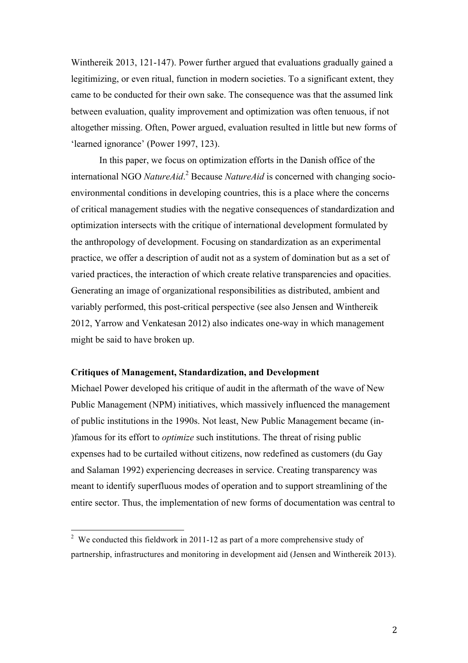Winthereik 2013, 121-147). Power further argued that evaluations gradually gained a legitimizing, or even ritual, function in modern societies. To a significant extent, they came to be conducted for their own sake. The consequence was that the assumed link between evaluation, quality improvement and optimization was often tenuous, if not altogether missing. Often, Power argued, evaluation resulted in little but new forms of 'learned ignorance' (Power 1997, 123).

In this paper, we focus on optimization efforts in the Danish office of the international NGO *NatureAid*. <sup>2</sup> Because *NatureAid* is concerned with changing socioenvironmental conditions in developing countries, this is a place where the concerns of critical management studies with the negative consequences of standardization and optimization intersects with the critique of international development formulated by the anthropology of development. Focusing on standardization as an experimental practice, we offer a description of audit not as a system of domination but as a set of varied practices, the interaction of which create relative transparencies and opacities. Generating an image of organizational responsibilities as distributed, ambient and variably performed, this post-critical perspective (see also Jensen and Winthereik 2012, Yarrow and Venkatesan 2012) also indicates one-way in which management might be said to have broken up.

### **Critiques of Management, Standardization, and Development**

 

Michael Power developed his critique of audit in the aftermath of the wave of New Public Management (NPM) initiatives, which massively influenced the management of public institutions in the 1990s. Not least, New Public Management became (in- )famous for its effort to *optimize* such institutions. The threat of rising public expenses had to be curtailed without citizens, now redefined as customers (du Gay and Salaman 1992) experiencing decreases in service. Creating transparency was meant to identify superfluous modes of operation and to support streamlining of the entire sector. Thus, the implementation of new forms of documentation was central to

<sup>&</sup>lt;sup>2</sup> We conducted this fieldwork in 2011-12 as part of a more comprehensive study of partnership, infrastructures and monitoring in development aid (Jensen and Winthereik 2013).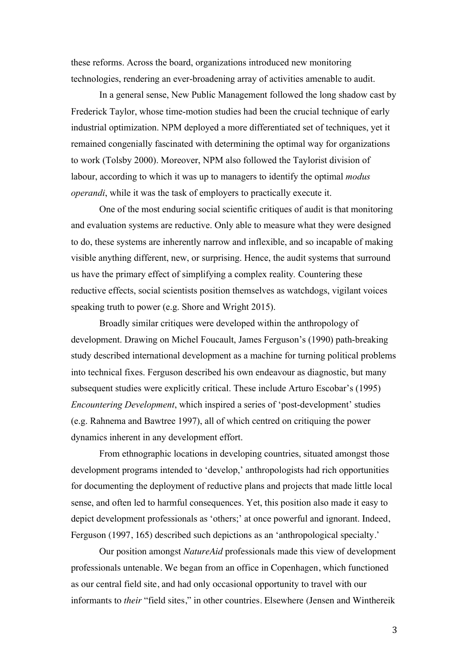these reforms. Across the board, organizations introduced new monitoring technologies, rendering an ever-broadening array of activities amenable to audit.

In a general sense, New Public Management followed the long shadow cast by Frederick Taylor, whose time-motion studies had been the crucial technique of early industrial optimization. NPM deployed a more differentiated set of techniques, yet it remained congenially fascinated with determining the optimal way for organizations to work (Tolsby 2000). Moreover, NPM also followed the Taylorist division of labour, according to which it was up to managers to identify the optimal *modus operandi*, while it was the task of employers to practically execute it.

One of the most enduring social scientific critiques of audit is that monitoring and evaluation systems are reductive. Only able to measure what they were designed to do, these systems are inherently narrow and inflexible, and so incapable of making visible anything different, new, or surprising. Hence, the audit systems that surround us have the primary effect of simplifying a complex reality*.* Countering these reductive effects, social scientists position themselves as watchdogs, vigilant voices speaking truth to power (e.g. Shore and Wright 2015).

Broadly similar critiques were developed within the anthropology of development. Drawing on Michel Foucault, James Ferguson's (1990) path-breaking study described international development as a machine for turning political problems into technical fixes. Ferguson described his own endeavour as diagnostic, but many subsequent studies were explicitly critical. These include Arturo Escobar's (1995) *Encountering Development*, which inspired a series of 'post-development' studies (e.g. Rahnema and Bawtree 1997), all of which centred on critiquing the power dynamics inherent in any development effort.

From ethnographic locations in developing countries, situated amongst those development programs intended to 'develop,' anthropologists had rich opportunities for documenting the deployment of reductive plans and projects that made little local sense, and often led to harmful consequences. Yet, this position also made it easy to depict development professionals as 'others;' at once powerful and ignorant. Indeed, Ferguson (1997, 165) described such depictions as an 'anthropological specialty.'

Our position amongst *NatureAid* professionals made this view of development professionals untenable. We began from an office in Copenhagen, which functioned as our central field site, and had only occasional opportunity to travel with our informants to *their* "field sites," in other countries. Elsewhere (Jensen and Winthereik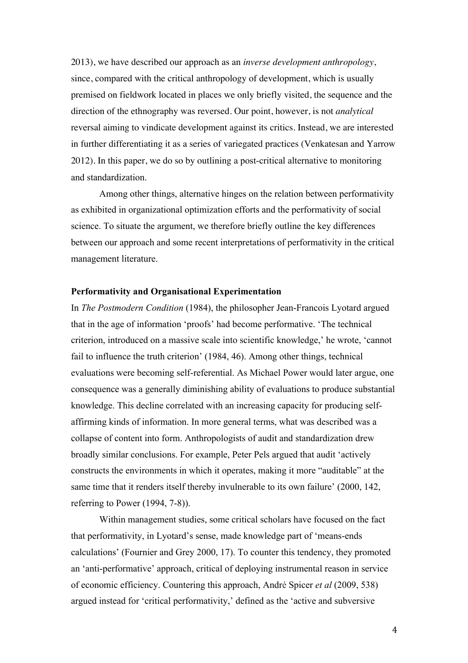2013), we have described our approach as an *inverse development anthropology*, since, compared with the critical anthropology of development, which is usually premised on fieldwork located in places we only briefly visited, the sequence and the direction of the ethnography was reversed. Our point, however, is not *analytical*  reversal aiming to vindicate development against its critics. Instead, we are interested in further differentiating it as a series of variegated practices (Venkatesan and Yarrow 2012). In this paper, we do so by outlining a post-critical alternative to monitoring and standardization.

Among other things, alternative hinges on the relation between performativity as exhibited in organizational optimization efforts and the performativity of social science. To situate the argument, we therefore briefly outline the key differences between our approach and some recent interpretations of performativity in the critical management literature.

#### **Performativity and Organisational Experimentation**

In *The Postmodern Condition* (1984), the philosopher Jean-Francois Lyotard argued that in the age of information 'proofs' had become performative. 'The technical criterion, introduced on a massive scale into scientific knowledge,' he wrote, 'cannot fail to influence the truth criterion' (1984, 46). Among other things, technical evaluations were becoming self-referential. As Michael Power would later argue, one consequence was a generally diminishing ability of evaluations to produce substantial knowledge. This decline correlated with an increasing capacity for producing selfaffirming kinds of information. In more general terms, what was described was a collapse of content into form. Anthropologists of audit and standardization drew broadly similar conclusions. For example, Peter Pels argued that audit 'actively constructs the environments in which it operates, making it more "auditable" at the same time that it renders itself thereby invulnerable to its own failure' (2000, 142, referring to Power (1994, 7-8)).

Within management studies, some critical scholars have focused on the fact that performativity, in Lyotard's sense, made knowledge part of 'means-ends calculations' (Fournier and Grey 2000, 17). To counter this tendency, they promoted an 'anti-performative' approach, critical of deploying instrumental reason in service of economic efficiency. Countering this approach, André Spicer *et al* (2009, 538) argued instead for 'critical performativity,' defined as the 'active and subversive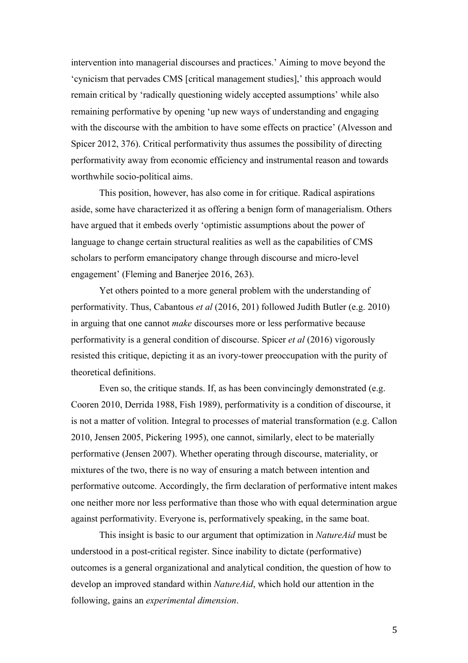intervention into managerial discourses and practices.' Aiming to move beyond the 'cynicism that pervades CMS [critical management studies],' this approach would remain critical by 'radically questioning widely accepted assumptions' while also remaining performative by opening 'up new ways of understanding and engaging with the discourse with the ambition to have some effects on practice' (Alvesson and Spicer 2012, 376). Critical performativity thus assumes the possibility of directing performativity away from economic efficiency and instrumental reason and towards worthwhile socio-political aims.

This position, however, has also come in for critique. Radical aspirations aside, some have characterized it as offering a benign form of managerialism. Others have argued that it embeds overly 'optimistic assumptions about the power of language to change certain structural realities as well as the capabilities of CMS scholars to perform emancipatory change through discourse and micro-level engagement' (Fleming and Banerjee 2016, 263).

Yet others pointed to a more general problem with the understanding of performativity. Thus, Cabantous *et al* (2016, 201) followed Judith Butler (e.g. 2010) in arguing that one cannot *make* discourses more or less performative because performativity is a general condition of discourse. Spicer *et al* (2016) vigorously resisted this critique, depicting it as an ivory-tower preoccupation with the purity of theoretical definitions.

Even so, the critique stands. If, as has been convincingly demonstrated (e.g. Cooren 2010, Derrida 1988, Fish 1989), performativity is a condition of discourse, it is not a matter of volition. Integral to processes of material transformation (e.g. Callon 2010, Jensen 2005, Pickering 1995), one cannot, similarly, elect to be materially performative (Jensen 2007). Whether operating through discourse, materiality, or mixtures of the two, there is no way of ensuring a match between intention and performative outcome. Accordingly, the firm declaration of performative intent makes one neither more nor less performative than those who with equal determination argue against performativity. Everyone is, performatively speaking, in the same boat.

This insight is basic to our argument that optimization in *NatureAid* must be understood in a post-critical register. Since inability to dictate (performative) outcomes is a general organizational and analytical condition, the question of how to develop an improved standard within *NatureAid*, which hold our attention in the following, gains an *experimental dimension*.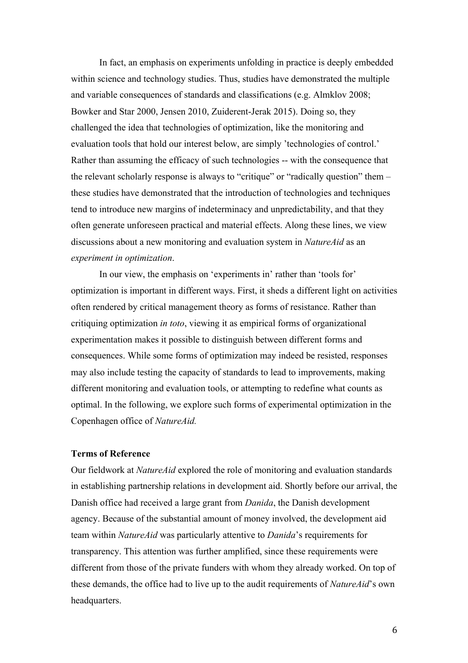In fact, an emphasis on experiments unfolding in practice is deeply embedded within science and technology studies. Thus, studies have demonstrated the multiple and variable consequences of standards and classifications (e.g. Almklov 2008; Bowker and Star 2000, Jensen 2010, Zuiderent-Jerak 2015). Doing so, they challenged the idea that technologies of optimization, like the monitoring and evaluation tools that hold our interest below, are simply 'technologies of control.' Rather than assuming the efficacy of such technologies -- with the consequence that the relevant scholarly response is always to "critique" or "radically question" them – these studies have demonstrated that the introduction of technologies and techniques tend to introduce new margins of indeterminacy and unpredictability, and that they often generate unforeseen practical and material effects. Along these lines, we view discussions about a new monitoring and evaluation system in *NatureAid* as an *experiment in optimization*.

In our view, the emphasis on 'experiments in' rather than 'tools for' optimization is important in different ways. First, it sheds a different light on activities often rendered by critical management theory as forms of resistance. Rather than critiquing optimization *in toto*, viewing it as empirical forms of organizational experimentation makes it possible to distinguish between different forms and consequences. While some forms of optimization may indeed be resisted, responses may also include testing the capacity of standards to lead to improvements, making different monitoring and evaluation tools, or attempting to redefine what counts as optimal. In the following, we explore such forms of experimental optimization in the Copenhagen office of *NatureAid.*

# **Terms of Reference**

Our fieldwork at *NatureAid* explored the role of monitoring and evaluation standards in establishing partnership relations in development aid. Shortly before our arrival, the Danish office had received a large grant from *Danida*, the Danish development agency. Because of the substantial amount of money involved, the development aid team within *NatureAid* was particularly attentive to *Danida*'s requirements for transparency. This attention was further amplified, since these requirements were different from those of the private funders with whom they already worked. On top of these demands, the office had to live up to the audit requirements of *NatureAid*'s own headquarters.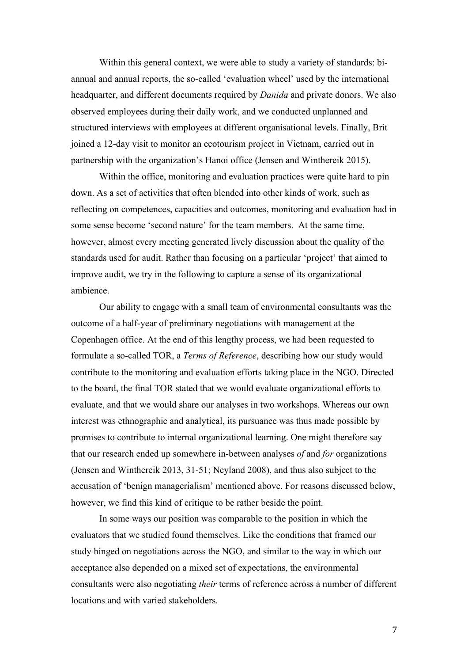Within this general context, we were able to study a variety of standards: biannual and annual reports, the so-called 'evaluation wheel' used by the international headquarter, and different documents required by *Danida* and private donors. We also observed employees during their daily work, and we conducted unplanned and structured interviews with employees at different organisational levels. Finally, Brit joined a 12-day visit to monitor an ecotourism project in Vietnam, carried out in partnership with the organization's Hanoi office (Jensen and Winthereik 2015).

Within the office, monitoring and evaluation practices were quite hard to pin down. As a set of activities that often blended into other kinds of work, such as reflecting on competences, capacities and outcomes, monitoring and evaluation had in some sense become 'second nature' for the team members. At the same time, however, almost every meeting generated lively discussion about the quality of the standards used for audit. Rather than focusing on a particular 'project' that aimed to improve audit, we try in the following to capture a sense of its organizational ambience.

Our ability to engage with a small team of environmental consultants was the outcome of a half-year of preliminary negotiations with management at the Copenhagen office. At the end of this lengthy process, we had been requested to formulate a so-called TOR, a *Terms of Reference*, describing how our study would contribute to the monitoring and evaluation efforts taking place in the NGO. Directed to the board, the final TOR stated that we would evaluate organizational efforts to evaluate, and that we would share our analyses in two workshops. Whereas our own interest was ethnographic and analytical, its pursuance was thus made possible by promises to contribute to internal organizational learning. One might therefore say that our research ended up somewhere in-between analyses *of* and *for* organizations (Jensen and Winthereik 2013, 31-51; Neyland 2008), and thus also subject to the accusation of 'benign managerialism' mentioned above. For reasons discussed below, however, we find this kind of critique to be rather beside the point.

In some ways our position was comparable to the position in which the evaluators that we studied found themselves. Like the conditions that framed our study hinged on negotiations across the NGO, and similar to the way in which our acceptance also depended on a mixed set of expectations, the environmental consultants were also negotiating *their* terms of reference across a number of different locations and with varied stakeholders.

7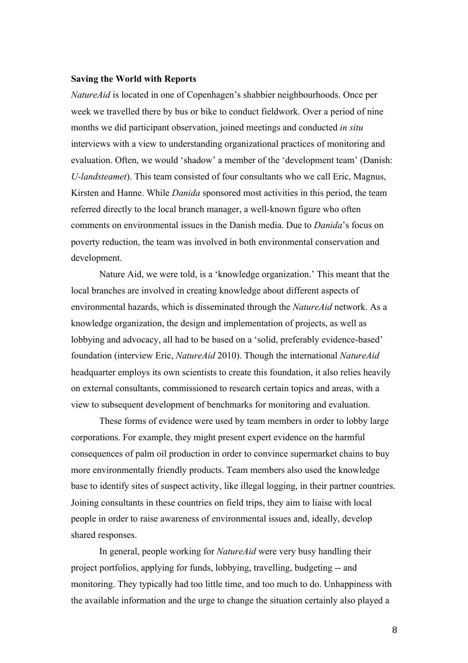#### **Saving the World with Reports**

*NatureAid* is located in one of Copenhagen's shabbier neighbourhoods. Once per week we travelled there by bus or bike to conduct fieldwork. Over a period of nine months we did participant observation, joined meetings and conducted *in situ* interviews with a view to understanding organizational practices of monitoring and evaluation. Often, we would 'shadow' a member of the 'development team' (Danish: *U-landsteamet*). This team consisted of four consultants who we call Eric, Magnus, Kirsten and Hanne. While *Danida* sponsored most activities in this period, the team referred directly to the local branch manager, a well-known figure who often comments on environmental issues in the Danish media. Due to *Danida*'s focus on poverty reduction, the team was involved in both environmental conservation and development.

Nature Aid, we were told, is a 'knowledge organization.' This meant that the local branches are involved in creating knowledge about different aspects of environmental hazards, which is disseminated through the *NatureAid* network. As a knowledge organization, the design and implementation of projects, as well as lobbying and advocacy, all had to be based on a 'solid, preferably evidence-based' foundation (interview Eric, *NatureAid* 2010). Though the international *NatureAid* headquarter employs its own scientists to create this foundation, it also relies heavily on external consultants, commissioned to research certain topics and areas, with a view to subsequent development of benchmarks for monitoring and evaluation.

These forms of evidence were used by team members in order to lobby large corporations. For example, they might present expert evidence on the harmful consequences of palm oil production in order to convince supermarket chains to buy more environmentally friendly products. Team members also used the knowledge base to identify sites of suspect activity, like illegal logging, in their partner countries. Joining consultants in these countries on field trips, they aim to liaise with local people in order to raise awareness of environmental issues and, ideally, develop shared responses.

In general, people working for *NatureAid* were very busy handling their project portfolios, applying for funds, lobbying, travelling, budgeting -- and monitoring. They typically had too little time, and too much to do. Unhappiness with the available information and the urge to change the situation certainly also played a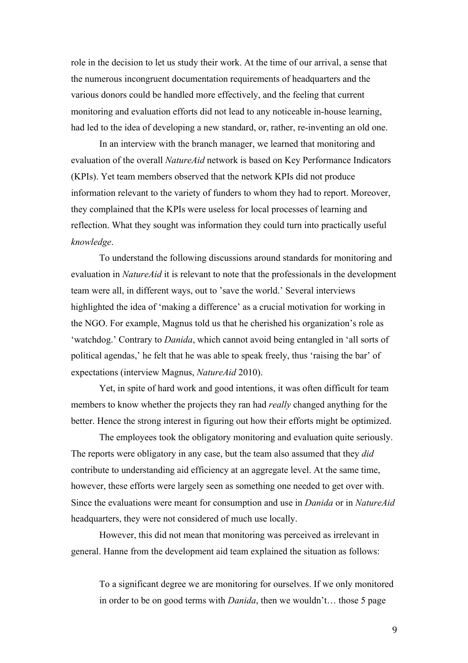role in the decision to let us study their work. At the time of our arrival, a sense that the numerous incongruent documentation requirements of headquarters and the various donors could be handled more effectively, and the feeling that current monitoring and evaluation efforts did not lead to any noticeable in-house learning, had led to the idea of developing a new standard, or, rather, re-inventing an old one.

In an interview with the branch manager, we learned that monitoring and evaluation of the overall *NatureAid* network is based on Key Performance Indicators (KPIs). Yet team members observed that the network KPIs did not produce information relevant to the variety of funders to whom they had to report. Moreover, they complained that the KPIs were useless for local processes of learning and reflection. What they sought was information they could turn into practically useful *knowledge*.

To understand the following discussions around standards for monitoring and evaluation in *NatureAid* it is relevant to note that the professionals in the development team were all, in different ways, out to 'save the world.' Several interviews highlighted the idea of 'making a difference' as a crucial motivation for working in the NGO. For example, Magnus told us that he cherished his organization's role as 'watchdog.' Contrary to *Danida*, which cannot avoid being entangled in 'all sorts of political agendas,' he felt that he was able to speak freely, thus 'raising the bar' of expectations (interview Magnus, *NatureAid* 2010).

Yet, in spite of hard work and good intentions, it was often difficult for team members to know whether the projects they ran had *really* changed anything for the better. Hence the strong interest in figuring out how their efforts might be optimized.

The employees took the obligatory monitoring and evaluation quite seriously. The reports were obligatory in any case, but the team also assumed that they *did* contribute to understanding aid efficiency at an aggregate level. At the same time, however, these efforts were largely seen as something one needed to get over with. Since the evaluations were meant for consumption and use in *Danida* or in *NatureAid* headquarters, they were not considered of much use locally.

However, this did not mean that monitoring was perceived as irrelevant in general. Hanne from the development aid team explained the situation as follows:

To a significant degree we are monitoring for ourselves. If we only monitored in order to be on good terms with *Danida*, then we wouldn't… those 5 page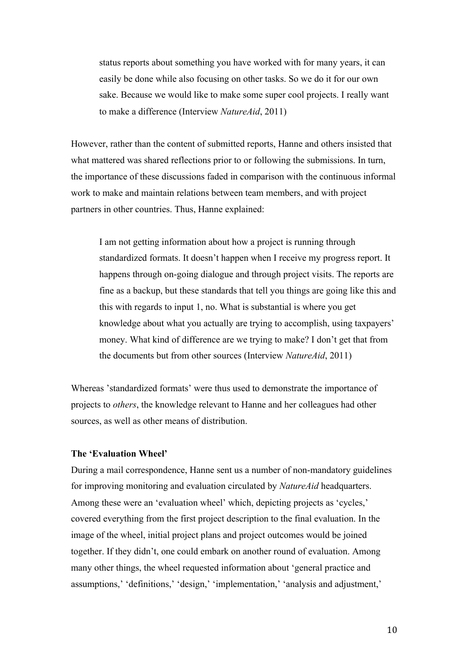status reports about something you have worked with for many years, it can easily be done while also focusing on other tasks. So we do it for our own sake. Because we would like to make some super cool projects. I really want to make a difference (Interview *NatureAid*, 2011)

However, rather than the content of submitted reports, Hanne and others insisted that what mattered was shared reflections prior to or following the submissions. In turn, the importance of these discussions faded in comparison with the continuous informal work to make and maintain relations between team members, and with project partners in other countries. Thus, Hanne explained:

I am not getting information about how a project is running through standardized formats. It doesn't happen when I receive my progress report. It happens through on-going dialogue and through project visits. The reports are fine as a backup, but these standards that tell you things are going like this and this with regards to input 1, no. What is substantial is where you get knowledge about what you actually are trying to accomplish, using taxpayers' money. What kind of difference are we trying to make? I don't get that from the documents but from other sources (Interview *NatureAid*, 2011)

Whereas 'standardized formats' were thus used to demonstrate the importance of projects to *others*, the knowledge relevant to Hanne and her colleagues had other sources, as well as other means of distribution.

## **The 'Evaluation Wheel'**

During a mail correspondence, Hanne sent us a number of non-mandatory guidelines for improving monitoring and evaluation circulated by *NatureAid* headquarters. Among these were an 'evaluation wheel' which, depicting projects as 'cycles,' covered everything from the first project description to the final evaluation. In the image of the wheel, initial project plans and project outcomes would be joined together. If they didn't, one could embark on another round of evaluation. Among many other things, the wheel requested information about 'general practice and assumptions,' 'definitions,' 'design,' 'implementation,' 'analysis and adjustment,'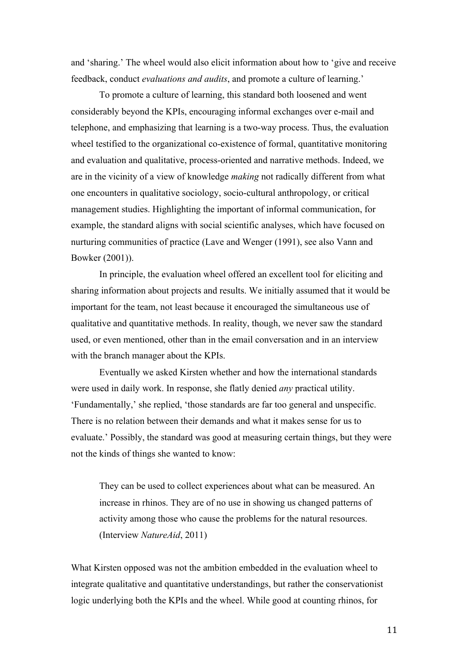and 'sharing.' The wheel would also elicit information about how to 'give and receive feedback, conduct *evaluations and audits*, and promote a culture of learning.'

To promote a culture of learning, this standard both loosened and went considerably beyond the KPIs, encouraging informal exchanges over e-mail and telephone, and emphasizing that learning is a two-way process. Thus, the evaluation wheel testified to the organizational co-existence of formal, quantitative monitoring and evaluation and qualitative, process-oriented and narrative methods. Indeed, we are in the vicinity of a view of knowledge *making* not radically different from what one encounters in qualitative sociology, socio-cultural anthropology, or critical management studies. Highlighting the important of informal communication, for example, the standard aligns with social scientific analyses, which have focused on nurturing communities of practice (Lave and Wenger (1991), see also Vann and Bowker (2001)).

In principle, the evaluation wheel offered an excellent tool for eliciting and sharing information about projects and results. We initially assumed that it would be important for the team, not least because it encouraged the simultaneous use of qualitative and quantitative methods. In reality, though, we never saw the standard used, or even mentioned, other than in the email conversation and in an interview with the branch manager about the KPIs.

Eventually we asked Kirsten whether and how the international standards were used in daily work. In response, she flatly denied *any* practical utility. 'Fundamentally,' she replied, 'those standards are far too general and unspecific. There is no relation between their demands and what it makes sense for us to evaluate.' Possibly, the standard was good at measuring certain things, but they were not the kinds of things she wanted to know:

They can be used to collect experiences about what can be measured. An increase in rhinos. They are of no use in showing us changed patterns of activity among those who cause the problems for the natural resources. (Interview *NatureAid*, 2011)

What Kirsten opposed was not the ambition embedded in the evaluation wheel to integrate qualitative and quantitative understandings, but rather the conservationist logic underlying both the KPIs and the wheel. While good at counting rhinos, for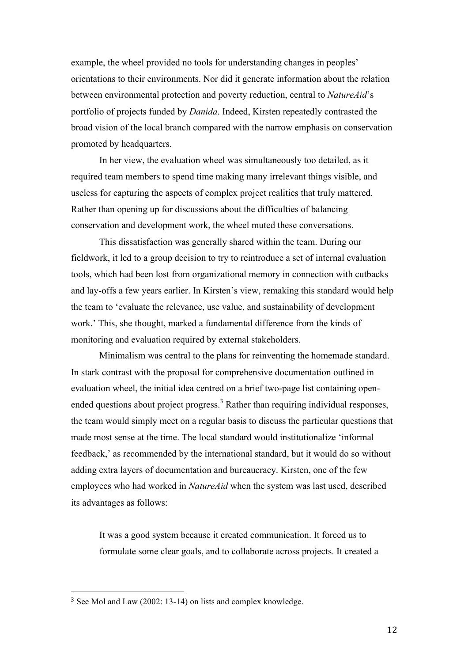example, the wheel provided no tools for understanding changes in peoples' orientations to their environments. Nor did it generate information about the relation between environmental protection and poverty reduction, central to *NatureAid*'s portfolio of projects funded by *Danida*. Indeed, Kirsten repeatedly contrasted the broad vision of the local branch compared with the narrow emphasis on conservation promoted by headquarters.

In her view, the evaluation wheel was simultaneously too detailed, as it required team members to spend time making many irrelevant things visible, and useless for capturing the aspects of complex project realities that truly mattered. Rather than opening up for discussions about the difficulties of balancing conservation and development work, the wheel muted these conversations.

This dissatisfaction was generally shared within the team. During our fieldwork, it led to a group decision to try to reintroduce a set of internal evaluation tools, which had been lost from organizational memory in connection with cutbacks and lay-offs a few years earlier. In Kirsten's view, remaking this standard would help the team to 'evaluate the relevance, use value, and sustainability of development work.' This, she thought, marked a fundamental difference from the kinds of monitoring and evaluation required by external stakeholders.

Minimalism was central to the plans for reinventing the homemade standard. In stark contrast with the proposal for comprehensive documentation outlined in evaluation wheel, the initial idea centred on a brief two-page list containing openended questions about project progress.<sup>3</sup> Rather than requiring individual responses, the team would simply meet on a regular basis to discuss the particular questions that made most sense at the time. The local standard would institutionalize 'informal feedback,' as recommended by the international standard, but it would do so without adding extra layers of documentation and bureaucracy. Kirsten, one of the few employees who had worked in *NatureAid* when the system was last used, described its advantages as follows:

It was a good system because it created communication. It forced us to formulate some clear goals, and to collaborate across projects. It created a

 

<sup>3</sup> See Mol and Law (2002: 13-14) on lists and complex knowledge.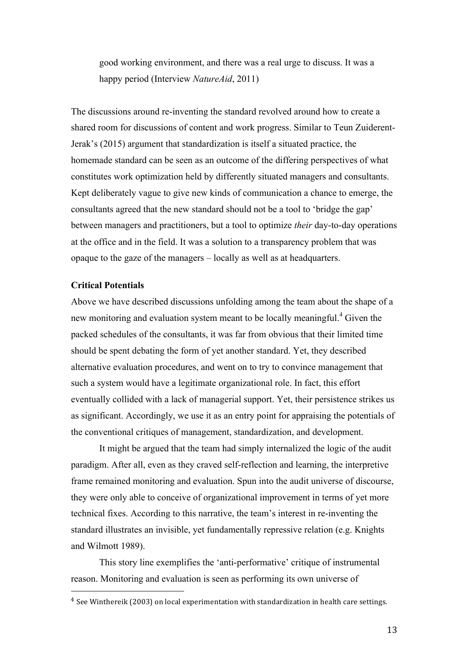good working environment, and there was a real urge to discuss. It was a happy period (Interview *NatureAid*, 2011)

The discussions around re-inventing the standard revolved around how to create a shared room for discussions of content and work progress. Similar to Teun Zuiderent-Jerak's (2015) argument that standardization is itself a situated practice, the homemade standard can be seen as an outcome of the differing perspectives of what constitutes work optimization held by differently situated managers and consultants. Kept deliberately vague to give new kinds of communication a chance to emerge, the consultants agreed that the new standard should not be a tool to 'bridge the gap' between managers and practitioners, but a tool to optimize *their* day-to-day operations at the office and in the field. It was a solution to a transparency problem that was opaque to the gaze of the managers – locally as well as at headquarters.

### **Critical Potentials**

Above we have described discussions unfolding among the team about the shape of a new monitoring and evaluation system meant to be locally meaningful. <sup>4</sup> Given the packed schedules of the consultants, it was far from obvious that their limited time should be spent debating the form of yet another standard. Yet, they described alternative evaluation procedures, and went on to try to convince management that such a system would have a legitimate organizational role. In fact, this effort eventually collided with a lack of managerial support. Yet, their persistence strikes us as significant. Accordingly, we use it as an entry point for appraising the potentials of the conventional critiques of management, standardization, and development.

It might be argued that the team had simply internalized the logic of the audit paradigm. After all, even as they craved self-reflection and learning, the interpretive frame remained monitoring and evaluation. Spun into the audit universe of discourse, they were only able to conceive of organizational improvement in terms of yet more technical fixes. According to this narrative, the team's interest in re-inventing the standard illustrates an invisible, yet fundamentally repressive relation (e.g. Knights and Wilmott 1989).

This story line exemplifies the 'anti-performative' critique of instrumental reason. Monitoring and evaluation is seen as performing its own universe of 

<sup>&</sup>lt;sup>4</sup> See Winthereik (2003) on local experimentation with standardization in health care settings.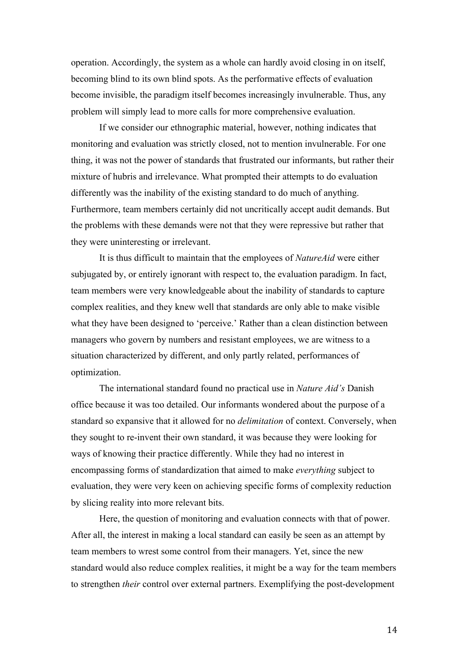operation. Accordingly, the system as a whole can hardly avoid closing in on itself, becoming blind to its own blind spots. As the performative effects of evaluation become invisible, the paradigm itself becomes increasingly invulnerable. Thus, any problem will simply lead to more calls for more comprehensive evaluation.

If we consider our ethnographic material, however, nothing indicates that monitoring and evaluation was strictly closed, not to mention invulnerable. For one thing, it was not the power of standards that frustrated our informants, but rather their mixture of hubris and irrelevance. What prompted their attempts to do evaluation differently was the inability of the existing standard to do much of anything. Furthermore, team members certainly did not uncritically accept audit demands. But the problems with these demands were not that they were repressive but rather that they were uninteresting or irrelevant.

It is thus difficult to maintain that the employees of *NatureAid* were either subjugated by, or entirely ignorant with respect to, the evaluation paradigm. In fact, team members were very knowledgeable about the inability of standards to capture complex realities, and they knew well that standards are only able to make visible what they have been designed to 'perceive.' Rather than a clean distinction between managers who govern by numbers and resistant employees, we are witness to a situation characterized by different, and only partly related, performances of optimization.

The international standard found no practical use in *Nature Aid's* Danish office because it was too detailed. Our informants wondered about the purpose of a standard so expansive that it allowed for no *delimitation* of context. Conversely, when they sought to re-invent their own standard, it was because they were looking for ways of knowing their practice differently. While they had no interest in encompassing forms of standardization that aimed to make *everything* subject to evaluation, they were very keen on achieving specific forms of complexity reduction by slicing reality into more relevant bits.

Here, the question of monitoring and evaluation connects with that of power. After all, the interest in making a local standard can easily be seen as an attempt by team members to wrest some control from their managers. Yet, since the new standard would also reduce complex realities, it might be a way for the team members to strengthen *their* control over external partners. Exemplifying the post-development

14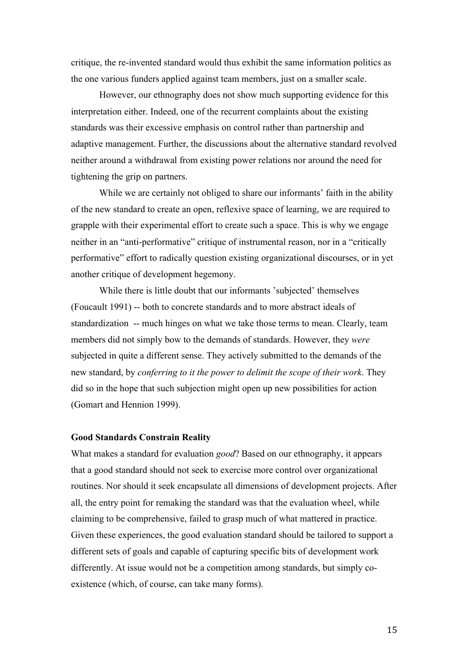critique, the re-invented standard would thus exhibit the same information politics as the one various funders applied against team members, just on a smaller scale.

However, our ethnography does not show much supporting evidence for this interpretation either. Indeed, one of the recurrent complaints about the existing standards was their excessive emphasis on control rather than partnership and adaptive management. Further, the discussions about the alternative standard revolved neither around a withdrawal from existing power relations nor around the need for tightening the grip on partners.

While we are certainly not obliged to share our informants' faith in the ability of the new standard to create an open, reflexive space of learning, we are required to grapple with their experimental effort to create such a space. This is why we engage neither in an "anti-performative" critique of instrumental reason, nor in a "critically performative" effort to radically question existing organizational discourses, or in yet another critique of development hegemony.

While there is little doubt that our informants 'subjected' themselves (Foucault 1991) -- both to concrete standards and to more abstract ideals of standardization -- much hinges on what we take those terms to mean. Clearly, team members did not simply bow to the demands of standards. However, they *were*  subjected in quite a different sense. They actively submitted to the demands of the new standard, by *conferring to it the power to delimit the scope of their work*. They did so in the hope that such subjection might open up new possibilities for action (Gomart and Hennion 1999).

#### **Good Standards Constrain Reality**

What makes a standard for evaluation *good*? Based on our ethnography, it appears that a good standard should not seek to exercise more control over organizational routines. Nor should it seek encapsulate all dimensions of development projects. After all, the entry point for remaking the standard was that the evaluation wheel, while claiming to be comprehensive, failed to grasp much of what mattered in practice. Given these experiences, the good evaluation standard should be tailored to support a different sets of goals and capable of capturing specific bits of development work differently. At issue would not be a competition among standards, but simply coexistence (which, of course, can take many forms).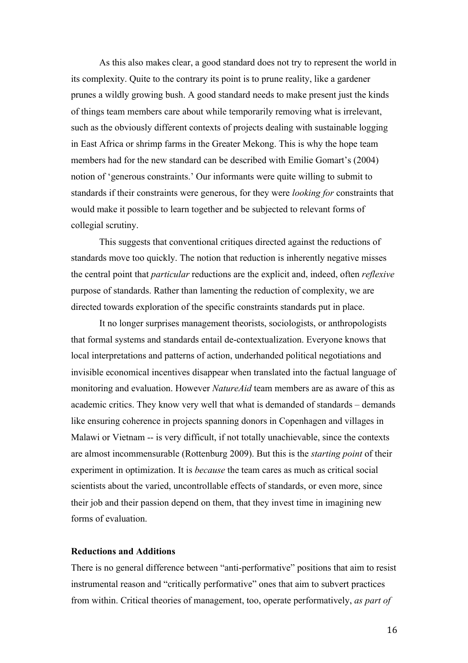As this also makes clear, a good standard does not try to represent the world in its complexity. Quite to the contrary its point is to prune reality, like a gardener prunes a wildly growing bush. A good standard needs to make present just the kinds of things team members care about while temporarily removing what is irrelevant, such as the obviously different contexts of projects dealing with sustainable logging in East Africa or shrimp farms in the Greater Mekong. This is why the hope team members had for the new standard can be described with Emilie Gomart's (2004) notion of 'generous constraints.' Our informants were quite willing to submit to standards if their constraints were generous, for they were *looking for* constraints that would make it possible to learn together and be subjected to relevant forms of collegial scrutiny.

This suggests that conventional critiques directed against the reductions of standards move too quickly. The notion that reduction is inherently negative misses the central point that *particular* reductions are the explicit and, indeed, often *reflexive*  purpose of standards. Rather than lamenting the reduction of complexity, we are directed towards exploration of the specific constraints standards put in place.

It no longer surprises management theorists, sociologists, or anthropologists that formal systems and standards entail de-contextualization. Everyone knows that local interpretations and patterns of action, underhanded political negotiations and invisible economical incentives disappear when translated into the factual language of monitoring and evaluation. However *NatureAid* team members are as aware of this as academic critics. They know very well that what is demanded of standards – demands like ensuring coherence in projects spanning donors in Copenhagen and villages in Malawi or Vietnam -- is very difficult, if not totally unachievable, since the contexts are almost incommensurable (Rottenburg 2009). But this is the *starting point* of their experiment in optimization. It is *because* the team cares as much as critical social scientists about the varied, uncontrollable effects of standards, or even more, since their job and their passion depend on them, that they invest time in imagining new forms of evaluation.

# **Reductions and Additions**

There is no general difference between "anti-performative" positions that aim to resist instrumental reason and "critically performative" ones that aim to subvert practices from within. Critical theories of management, too, operate performatively, *as part of*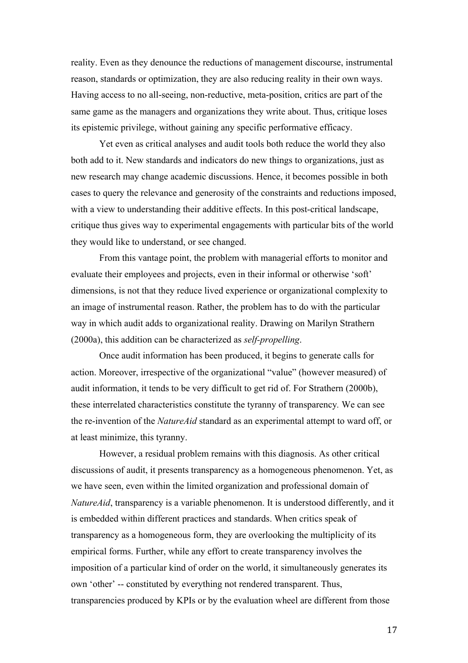reality. Even as they denounce the reductions of management discourse, instrumental reason, standards or optimization, they are also reducing reality in their own ways. Having access to no all-seeing, non-reductive, meta-position, critics are part of the same game as the managers and organizations they write about. Thus, critique loses its epistemic privilege, without gaining any specific performative efficacy.

Yet even as critical analyses and audit tools both reduce the world they also both add to it. New standards and indicators do new things to organizations, just as new research may change academic discussions. Hence, it becomes possible in both cases to query the relevance and generosity of the constraints and reductions imposed, with a view to understanding their additive effects. In this post-critical landscape, critique thus gives way to experimental engagements with particular bits of the world they would like to understand, or see changed.

From this vantage point, the problem with managerial efforts to monitor and evaluate their employees and projects, even in their informal or otherwise 'soft' dimensions, is not that they reduce lived experience or organizational complexity to an image of instrumental reason. Rather, the problem has to do with the particular way in which audit adds to organizational reality. Drawing on Marilyn Strathern (2000a), this addition can be characterized as *self-propelling*.

Once audit information has been produced, it begins to generate calls for action. Moreover, irrespective of the organizational "value" (however measured) of audit information, it tends to be very difficult to get rid of. For Strathern (2000b), these interrelated characteristics constitute the tyranny of transparency*.* We can see the re-invention of the *NatureAid* standard as an experimental attempt to ward off, or at least minimize, this tyranny.

However, a residual problem remains with this diagnosis. As other critical discussions of audit, it presents transparency as a homogeneous phenomenon. Yet, as we have seen, even within the limited organization and professional domain of *NatureAid*, transparency is a variable phenomenon. It is understood differently, and it is embedded within different practices and standards. When critics speak of transparency as a homogeneous form, they are overlooking the multiplicity of its empirical forms. Further, while any effort to create transparency involves the imposition of a particular kind of order on the world, it simultaneously generates its own 'other' -- constituted by everything not rendered transparent. Thus, transparencies produced by KPIs or by the evaluation wheel are different from those

17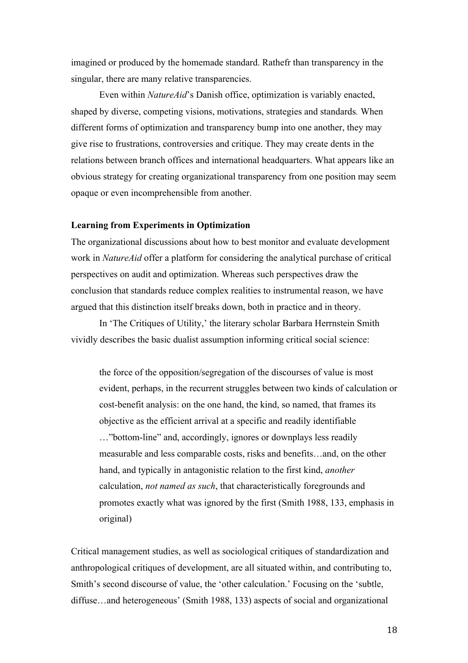imagined or produced by the homemade standard. Rathefr than transparency in the singular, there are many relative transparencies.

Even within *NatureAid*'s Danish office, optimization is variably enacted, shaped by diverse, competing visions, motivations, strategies and standards*.* When different forms of optimization and transparency bump into one another, they may give rise to frustrations, controversies and critique. They may create dents in the relations between branch offices and international headquarters. What appears like an obvious strategy for creating organizational transparency from one position may seem opaque or even incomprehensible from another.

#### **Learning from Experiments in Optimization**

The organizational discussions about how to best monitor and evaluate development work in *NatureAid* offer a platform for considering the analytical purchase of critical perspectives on audit and optimization. Whereas such perspectives draw the conclusion that standards reduce complex realities to instrumental reason, we have argued that this distinction itself breaks down, both in practice and in theory.

In 'The Critiques of Utility,' the literary scholar Barbara Herrnstein Smith vividly describes the basic dualist assumption informing critical social science:

the force of the opposition/segregation of the discourses of value is most evident, perhaps, in the recurrent struggles between two kinds of calculation or cost-benefit analysis: on the one hand, the kind, so named, that frames its objective as the efficient arrival at a specific and readily identifiable …"bottom-line" and, accordingly, ignores or downplays less readily measurable and less comparable costs, risks and benefits…and, on the other hand, and typically in antagonistic relation to the first kind, *another*  calculation, *not named as such*, that characteristically foregrounds and promotes exactly what was ignored by the first (Smith 1988, 133, emphasis in original)

Critical management studies, as well as sociological critiques of standardization and anthropological critiques of development, are all situated within, and contributing to, Smith's second discourse of value, the 'other calculation.' Focusing on the 'subtle, diffuse…and heterogeneous' (Smith 1988, 133) aspects of social and organizational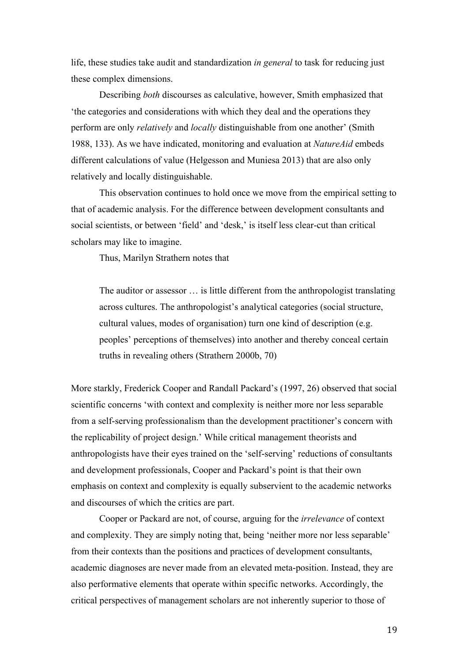life, these studies take audit and standardization *in general* to task for reducing just these complex dimensions.

Describing *both* discourses as calculative, however, Smith emphasized that 'the categories and considerations with which they deal and the operations they perform are only *relatively* and *locally* distinguishable from one another' (Smith 1988, 133). As we have indicated, monitoring and evaluation at *NatureAid* embeds different calculations of value (Helgesson and Muniesa 2013) that are also only relatively and locally distinguishable.

This observation continues to hold once we move from the empirical setting to that of academic analysis. For the difference between development consultants and social scientists, or between 'field' and 'desk,' is itself less clear-cut than critical scholars may like to imagine.

Thus, Marilyn Strathern notes that

The auditor or assessor … is little different from the anthropologist translating across cultures. The anthropologist's analytical categories (social structure, cultural values, modes of organisation) turn one kind of description (e.g. peoples' perceptions of themselves) into another and thereby conceal certain truths in revealing others (Strathern 2000b, 70)

More starkly, Frederick Cooper and Randall Packard's (1997, 26) observed that social scientific concerns 'with context and complexity is neither more nor less separable from a self-serving professionalism than the development practitioner's concern with the replicability of project design.' While critical management theorists and anthropologists have their eyes trained on the 'self-serving' reductions of consultants and development professionals, Cooper and Packard's point is that their own emphasis on context and complexity is equally subservient to the academic networks and discourses of which the critics are part.

Cooper or Packard are not, of course, arguing for the *irrelevance* of context and complexity. They are simply noting that, being 'neither more nor less separable' from their contexts than the positions and practices of development consultants, academic diagnoses are never made from an elevated meta-position. Instead, they are also performative elements that operate within specific networks. Accordingly, the critical perspectives of management scholars are not inherently superior to those of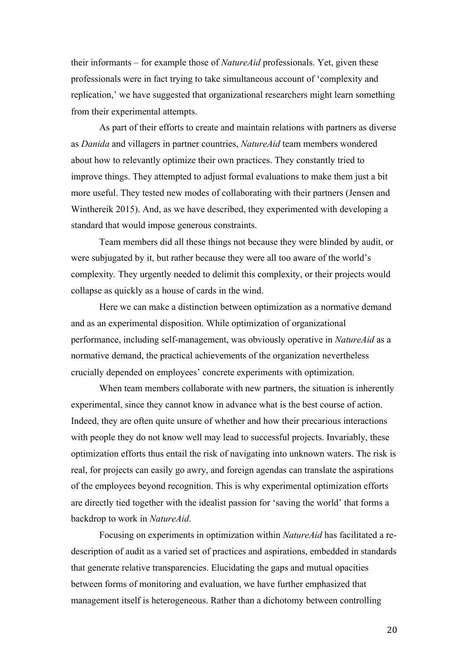their informants – for example those of *NatureAid* professionals. Yet, given these professionals were in fact trying to take simultaneous account of 'complexity and replication,' we have suggested that organizational researchers might learn something from their experimental attempts.

As part of their efforts to create and maintain relations with partners as diverse as *Danida* and villagers in partner countries, *NatureAid* team members wondered about how to relevantly optimize their own practices. They constantly tried to improve things. They attempted to adjust formal evaluations to make them just a bit more useful. They tested new modes of collaborating with their partners (Jensen and Winthereik 2015). And, as we have described, they experimented with developing a standard that would impose generous constraints.

Team members did all these things not because they were blinded by audit, or were subjugated by it, but rather because they were all too aware of the world's complexity*.* They urgently needed to delimit this complexity, or their projects would collapse as quickly as a house of cards in the wind.

Here we can make a distinction between optimization as a normative demand and as an experimental disposition. While optimization of organizational performance, including self-management, was obviously operative in *NatureAid* as a normative demand, the practical achievements of the organization nevertheless crucially depended on employees' concrete experiments with optimization.

When team members collaborate with new partners, the situation is inherently experimental, since they cannot know in advance what is the best course of action. Indeed, they are often quite unsure of whether and how their precarious interactions with people they do not know well may lead to successful projects. Invariably, these optimization efforts thus entail the risk of navigating into unknown waters. The risk is real, for projects can easily go awry, and foreign agendas can translate the aspirations of the employees beyond recognition. This is why experimental optimization efforts are directly tied together with the idealist passion for 'saving the world' that forms a backdrop to work in *NatureAid*.

Focusing on experiments in optimization within *NatureAid* has facilitated a redescription of audit as a varied set of practices and aspirations, embedded in standards that generate relative transparencies. Elucidating the gaps and mutual opacities between forms of monitoring and evaluation, we have further emphasized that management itself is heterogeneous. Rather than a dichotomy between controlling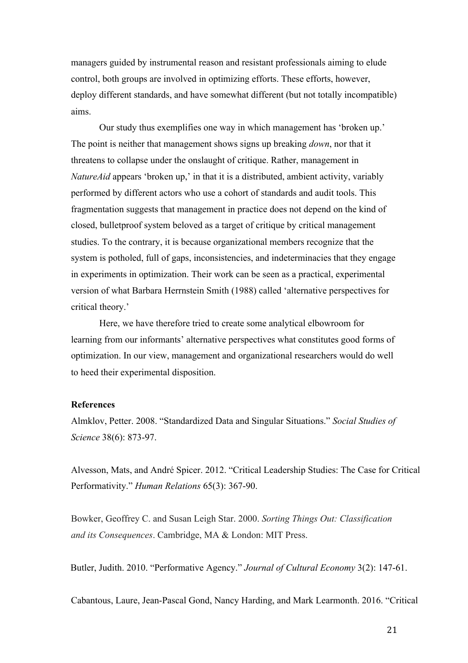managers guided by instrumental reason and resistant professionals aiming to elude control, both groups are involved in optimizing efforts. These efforts, however, deploy different standards, and have somewhat different (but not totally incompatible) aims.

Our study thus exemplifies one way in which management has 'broken up.' The point is neither that management shows signs up breaking *down*, nor that it threatens to collapse under the onslaught of critique. Rather, management in *NatureAid* appears 'broken up,' in that it is a distributed, ambient activity, variably performed by different actors who use a cohort of standards and audit tools. This fragmentation suggests that management in practice does not depend on the kind of closed, bulletproof system beloved as a target of critique by critical management studies. To the contrary, it is because organizational members recognize that the system is potholed, full of gaps, inconsistencies, and indeterminacies that they engage in experiments in optimization. Their work can be seen as a practical, experimental version of what Barbara Herrnstein Smith (1988) called 'alternative perspectives for critical theory.'

Here, we have therefore tried to create some analytical elbowroom for learning from our informants' alternative perspectives what constitutes good forms of optimization. In our view, management and organizational researchers would do well to heed their experimental disposition.

### **References**

Almklov, Petter. 2008. "Standardized Data and Singular Situations." *Social Studies of Science* 38(6): 873-97.

Alvesson, Mats, and André Spicer. 2012. "Critical Leadership Studies: The Case for Critical Performativity." *Human Relations* 65(3): 367-90.

Bowker, Geoffrey C. and Susan Leigh Star. 2000. *Sorting Things Out: Classification and its Consequences*. Cambridge, MA & London: MIT Press.

Butler, Judith. 2010. "Performative Agency." *Journal of Cultural Economy* 3(2): 147-61.

Cabantous, Laure, Jean-Pascal Gond, Nancy Harding, and Mark Learmonth. 2016. "Critical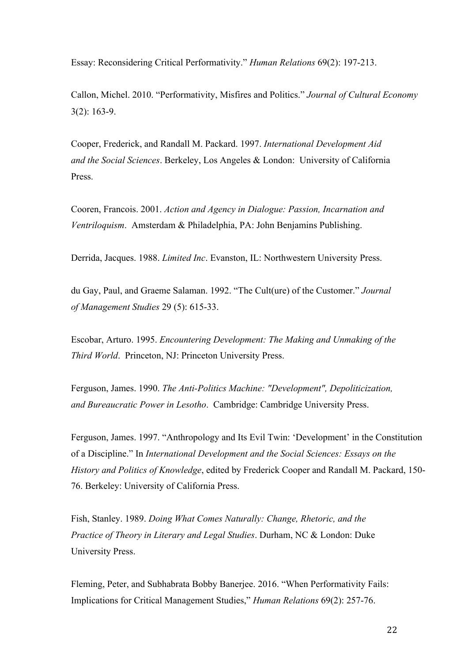Essay: Reconsidering Critical Performativity." *Human Relations* 69(2): 197-213.

Callon, Michel. 2010. "Performativity, Misfires and Politics." *Journal of Cultural Economy*  3(2): 163-9.

Cooper, Frederick, and Randall M. Packard. 1997. *International Development Aid and the Social Sciences*. Berkeley, Los Angeles & London: University of California **Press**.

Cooren, Francois. 2001. *Action and Agency in Dialogue: Passion, Incarnation and Ventriloquism*. Amsterdam & Philadelphia, PA: John Benjamins Publishing.

Derrida, Jacques. 1988. *Limited Inc*. Evanston, IL: Northwestern University Press.

du Gay, Paul, and Graeme Salaman. 1992. "The Cult(ure) of the Customer." *Journal of Management Studies* 29 (5): 615-33.

Escobar, Arturo. 1995. *Encountering Development: The Making and Unmaking of the Third World*. Princeton, NJ: Princeton University Press.

Ferguson, James. 1990. *The Anti-Politics Machine: "Development", Depoliticization, and Bureaucratic Power in Lesotho*. Cambridge: Cambridge University Press.

Ferguson, James. 1997. "Anthropology and Its Evil Twin: 'Development' in the Constitution of a Discipline." In *International Development and the Social Sciences: Essays on the History and Politics of Knowledge*, edited by Frederick Cooper and Randall M. Packard, 150- 76. Berkeley: University of California Press.

Fish, Stanley. 1989. *Doing What Comes Naturally: Change, Rhetoric, and the Practice of Theory in Literary and Legal Studies*. Durham, NC & London: Duke University Press.

Fleming, Peter, and Subhabrata Bobby Banerjee. 2016. "When Performativity Fails: Implications for Critical Management Studies," *Human Relations* 69(2): 257-76.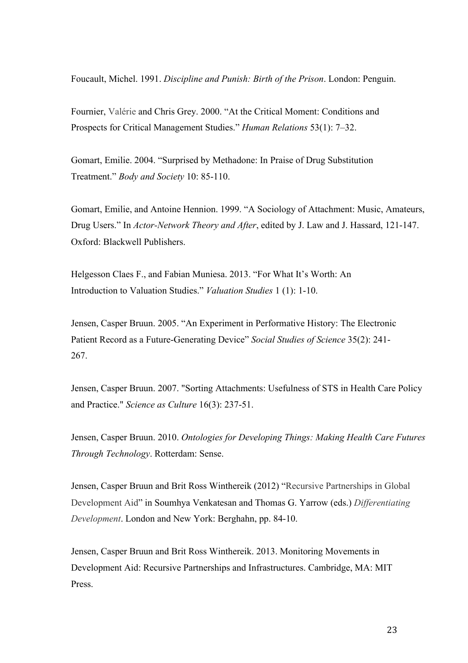Foucault, Michel. 1991. *Discipline and Punish: Birth of the Prison*. London: Penguin.

Fournier, Valérie and Chris Grey. 2000. "At the Critical Moment: Conditions and Prospects for Critical Management Studies." *Human Relations* 53(1): 7–32.

Gomart, Emilie. 2004. "Surprised by Methadone: In Praise of Drug Substitution Treatment." *Body and Society* 10: 85-110.

Gomart, Emilie, and Antoine Hennion. 1999. "A Sociology of Attachment: Music, Amateurs, Drug Users." In *Actor-Network Theory and After*, edited by J. Law and J. Hassard, 121-147. Oxford: Blackwell Publishers.

Helgesson Claes F., and Fabian Muniesa. 2013. "For What It's Worth: An Introduction to Valuation Studies." *Valuation Studies* 1 (1): 1-10.

Jensen, Casper Bruun. 2005. "An Experiment in Performative History: The Electronic Patient Record as a Future-Generating Device" *Social Studies of Science* 35(2): 241- 267.

Jensen, Casper Bruun. 2007. "Sorting Attachments: Usefulness of STS in Health Care Policy and Practice." *Science as Culture* 16(3): 237-51.

Jensen, Casper Bruun. 2010. *Ontologies for Developing Things: Making Health Care Futures Through Technology*. Rotterdam: Sense.

Jensen, Casper Bruun and Brit Ross Winthereik (2012) "Recursive Partnerships in Global Development Aid" in Soumhya Venkatesan and Thomas G. Yarrow (eds.) *Differentiating Development*. London and New York: Berghahn, pp. 84-10.

Jensen, Casper Bruun and Brit Ross Winthereik. 2013. Monitoring Movements in Development Aid: Recursive Partnerships and Infrastructures. Cambridge, MA: MIT Press.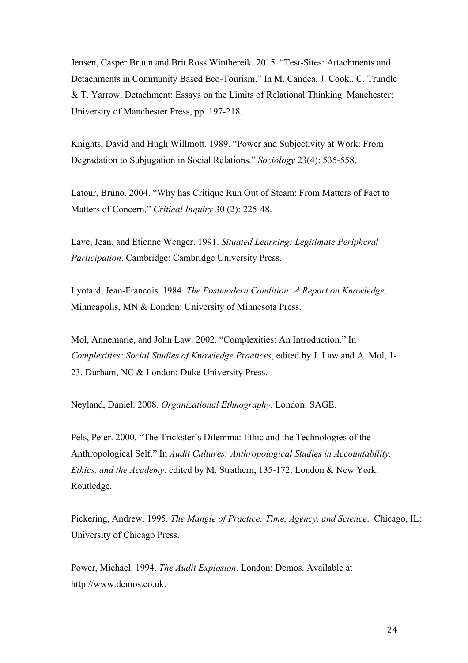Jensen, Casper Bruun and Brit Ross Winthereik. 2015. "Test-Sites: Attachments and Detachments in Community Based Eco-Tourism." In M. Candea, J. Cook., C. Trundle & T. Yarrow. Detachment: Essays on the Limits of Relational Thinking. Manchester: University of Manchester Press, pp. 197-218.

Knights, David and Hugh Willmott. 1989. "Power and Subjectivity at Work: From Degradation to Subjugation in Social Relations." *Sociology* 23(4): 535-558.

Latour, Bruno. 2004. "Why has Critique Run Out of Steam: From Matters of Fact to Matters of Concern." *Critical Inquiry* 30 (2): 225-48.

Lave, Jean, and Etienne Wenger. 1991. *Situated Learning: Legitimate Peripheral Participation*. Cambridge: Cambridge University Press.

Lyotard, Jean-Francois. 1984. *The Postmodern Condition: A Report on Knowledge*. Minneapolis, MN & London: University of Minnesota Press.

Mol, Annemarie, and John Law. 2002. "Complexities: An Introduction." In *Complexities: Social Studies of Knowledge Practices*, edited by J. Law and A. Mol, 1- 23. Durham, NC & London: Duke University Press.

Neyland, Daniel. 2008. *Organizational Ethnography*. London: SAGE.

Pels, Peter. 2000. "The Trickster's Dilemma: Ethic and the Technologies of the Anthropological Self." In *Audit Cultures: Anthropological Studies in Accountability, Ethics, and the Academy*, edited by M. Strathern, 135-172. London & New York: Routledge.

Pickering, Andrew. 1995. *The Mangle of Practice: Time, Agency, and Science*. Chicago, IL: University of Chicago Press.

Power, Michael. 1994. *The Audit Explosion*. London: Demos. Available at http://www.demos.co.uk.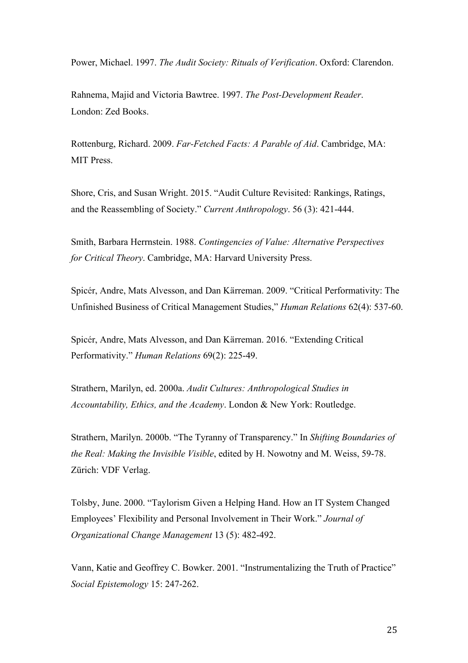Power, Michael. 1997. *The Audit Society: Rituals of Verification*. Oxford: Clarendon.

Rahnema, Majid and Victoria Bawtree. 1997. *The Post-Development Reader*. London: Zed Books.

Rottenburg, Richard. 2009. *Far-Fetched Facts: A Parable of Aid*. Cambridge, MA: MIT Press.

Shore, Cris, and Susan Wright. 2015. "Audit Culture Revisited: Rankings, Ratings, and the Reassembling of Society." *Current Anthropology*. 56 (3): 421-444.

Smith, Barbara Herrnstein. 1988. *Contingencies of Value: Alternative Perspectives for Critical Theory*. Cambridge, MA: Harvard University Press.

Spicér, Andre, Mats Alvesson, and Dan K**ä**rreman. 2009. "Critical Performativity: The Unfinished Business of Critical Management Studies," *Human Relations* 62(4): 537-60.

Spicér, Andre, Mats Alvesson, and Dan K**ä**rreman. 2016. "Extending Critical Performativity." *Human Relations* 69(2): 225-49.

Strathern, Marilyn, ed. 2000a. *Audit Cultures: Anthropological Studies in Accountability, Ethics, and the Academy*. London & New York: Routledge.

Strathern, Marilyn. 2000b. "The Tyranny of Transparency." In *Shifting Boundaries of the Real: Making the Invisible Visible*, edited by H. Nowotny and M. Weiss, 59-78. Zürich: VDF Verlag.

Tolsby, June. 2000. "Taylorism Given a Helping Hand. How an IT System Changed Employees' Flexibility and Personal Involvement in Their Work." *Journal of Organizational Change Management* 13 (5): 482-492.

Vann, Katie and Geoffrey C. Bowker. 2001. "Instrumentalizing the Truth of Practice" *Social Epistemology* 15: 247-262.